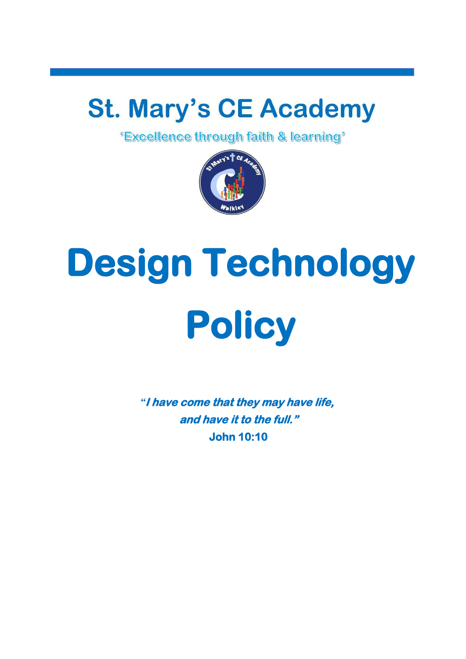## **St. Mary's CE Academy**<br>"Excellence through faith & learning"



# **Design Technology Policy**

*"***I have come that they may have life, and have it to the full." John 10:10**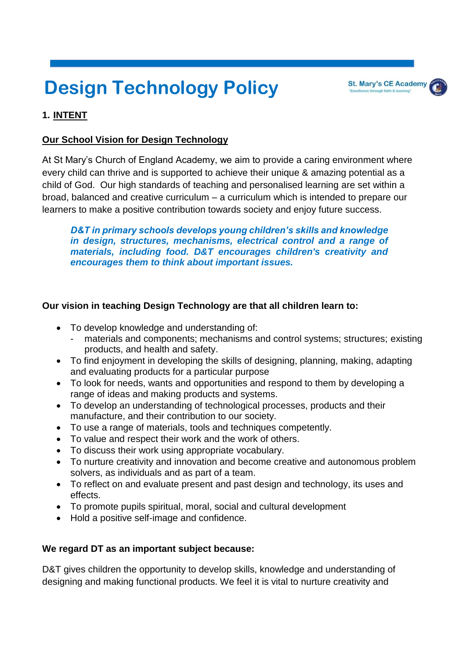### **Design Technology Policy**

#### **1. INTENT**

#### **Our School Vision for Design Technology**

At St Mary's Church of England Academy, we aim to provide a caring environment where every child can thrive and is supported to achieve their unique & amazing potential as a child of God. Our high standards of teaching and personalised learning are set within a broad, balanced and creative curriculum – a curriculum which is intended to prepare our learners to make a positive contribution towards society and enjoy future success.

*D&T in primary schools develops young children's skills and knowledge in design, structures, mechanisms, electrical control and a range of materials, including food. D&T encourages children's creativity and encourages them to think about important issues.*

#### **Our vision in teaching Design Technology are that all children learn to:**

- To develop knowledge and understanding of:
	- materials and components; mechanisms and control systems; structures; existing products, and health and safety.
- To find enjoyment in developing the skills of designing, planning, making, adapting and evaluating products for a particular purpose
- To look for needs, wants and opportunities and respond to them by developing a range of ideas and making products and systems.
- To develop an understanding of technological processes, products and their manufacture, and their contribution to our society.
- To use a range of materials, tools and techniques competently.
- To value and respect their work and the work of others.
- To discuss their work using appropriate vocabulary.
- To nurture creativity and innovation and become creative and autonomous problem solvers, as individuals and as part of a team.
- To reflect on and evaluate present and past design and technology, its uses and effects.
- To promote pupils spiritual, moral, social and cultural development
- Hold a positive self-image and confidence.

#### **We regard DT as an important subject because:**

D&T gives children the opportunity to develop skills, knowledge and understanding of designing and making functional products. We feel it is vital to nurture creativity and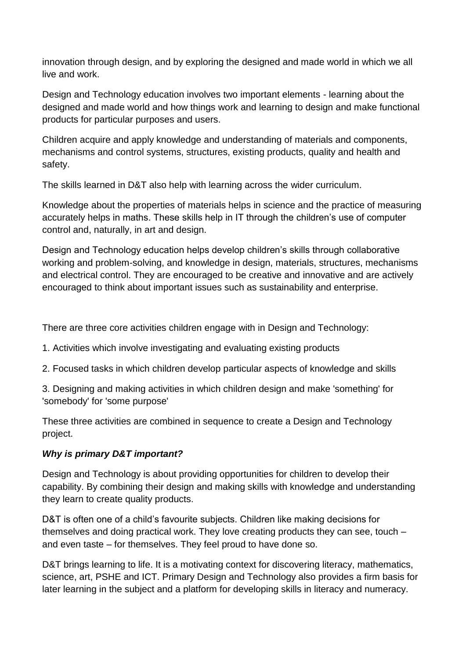innovation through design, and by exploring the designed and made world in which we all live and work.

Design and Technology education involves two important elements - learning about the designed and made world and how things work and learning to design and make functional products for particular purposes and users.

Children acquire and apply knowledge and understanding of materials and components, mechanisms and control systems, structures, existing products, quality and health and safety.

The skills learned in D&T also help with learning across the wider curriculum.

Knowledge about the properties of materials helps in science and the practice of measuring accurately helps in maths. These skills help in IT through the children's use of computer control and, naturally, in art and design.

Design and Technology education helps develop children's skills through collaborative working and problem-solving, and knowledge in design, materials, structures, mechanisms and electrical control. They are encouraged to be creative and innovative and are actively encouraged to think about important issues such as sustainability and enterprise.

There are three core activities children engage with in Design and Technology:

- 1. Activities which involve investigating and evaluating existing products
- 2. Focused tasks in which children develop particular aspects of knowledge and skills

3. Designing and making activities in which children design and make 'something' for 'somebody' for 'some purpose'

These three activities are combined in sequence to create a Design and Technology project.

#### *Why is primary D&T important?*

Design and Technology is about providing opportunities for children to develop their capability. By combining their design and making skills with knowledge and understanding they learn to create quality products.

D&T is often one of a child's favourite subjects. Children like making decisions for themselves and doing practical work. They love creating products they can see, touch – and even taste – for themselves. They feel proud to have done so.

D&T brings learning to life. It is a motivating context for discovering literacy, mathematics, science, art, PSHE and ICT. Primary Design and Technology also provides a firm basis for later learning in the subject and a platform for developing skills in literacy and numeracy.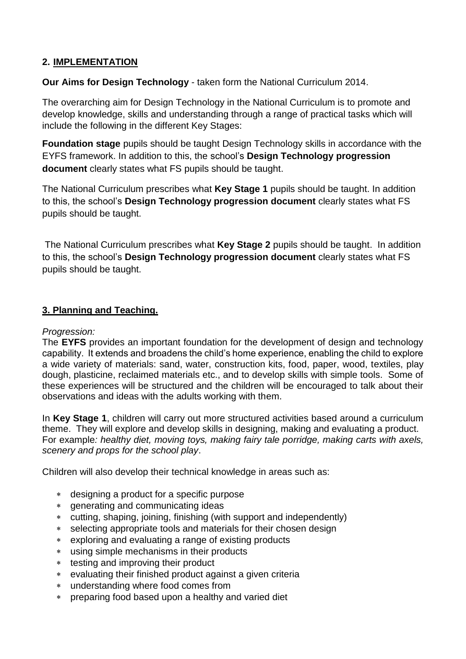#### **2. IMPLEMENTATION**

#### **Our Aims for Design Technology** - taken form the National Curriculum 2014.

The overarching aim for Design Technology in the National Curriculum is to promote and develop knowledge, skills and understanding through a range of practical tasks which will include the following in the different Key Stages:

**Foundation stage** pupils should be taught Design Technology skills in accordance with the EYFS framework. In addition to this, the school's **Design Technology progression document** clearly states what FS pupils should be taught.

The National Curriculum prescribes what **Key Stage 1** pupils should be taught. In addition to this, the school's **Design Technology progression document** clearly states what FS pupils should be taught.

The National Curriculum prescribes what **Key Stage 2** pupils should be taught. In addition to this, the school's **Design Technology progression document** clearly states what FS pupils should be taught.

#### **3. Planning and Teaching.**

#### *Progression:*

The **EYFS** provides an important foundation for the development of design and technology capability. It extends and broadens the child's home experience, enabling the child to explore a wide variety of materials: sand, water, construction kits, food, paper, wood, textiles, play dough, plasticine, reclaimed materials etc., and to develop skills with simple tools. Some of these experiences will be structured and the children will be encouraged to talk about their observations and ideas with the adults working with them.

In **Key Stage 1**, children will carry out more structured activities based around a curriculum theme. They will explore and develop skills in designing, making and evaluating a product. For example*: healthy diet, moving toys, making fairy tale porridge, making carts with axels, scenery and props for the school play*.

Children will also develop their technical knowledge in areas such as:

- designing a product for a specific purpose
- generating and communicating ideas
- cutting, shaping, joining, finishing (with support and independently)
- selecting appropriate tools and materials for their chosen design
- exploring and evaluating a range of existing products
- using simple mechanisms in their products
- testing and improving their product
- evaluating their finished product against a given criteria
- understanding where food comes from
- preparing food based upon a healthy and varied diet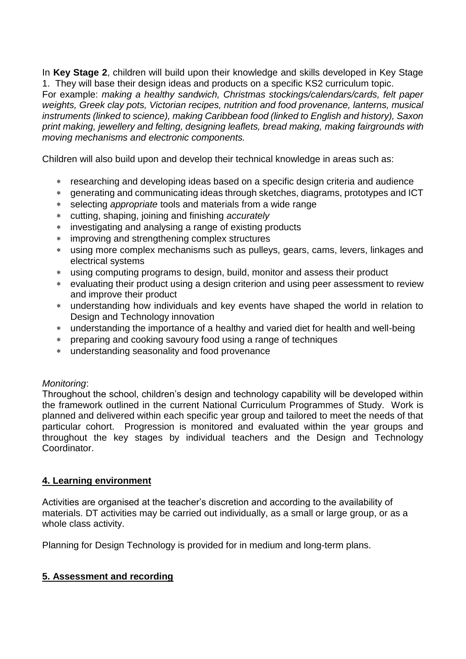In **Key Stage 2**, children will build upon their knowledge and skills developed in Key Stage 1. They will base their design ideas and products on a specific KS2 curriculum topic. For example: *making a healthy sandwich, Christmas stockings/calendars/cards, felt paper weights, Greek clay pots, Victorian recipes, nutrition and food provenance, lanterns, musical instruments (linked to science), making Caribbean food (linked to English and history), Saxon print making, jewellery and felting, designing leaflets, bread making, making fairgrounds with moving mechanisms and electronic components.* 

Children will also build upon and develop their technical knowledge in areas such as:

- researching and developing ideas based on a specific design criteria and audience
- generating and communicating ideas through sketches, diagrams, prototypes and ICT
- selecting *appropriate* tools and materials from a wide range
- cutting, shaping, joining and finishing *accurately*
- investigating and analysing a range of existing products
- improving and strengthening complex structures
- using more complex mechanisms such as pulleys, gears, cams, levers, linkages and electrical systems
- using computing programs to design, build, monitor and assess their product
- evaluating their product using a design criterion and using peer assessment to review and improve their product
- understanding how individuals and key events have shaped the world in relation to Design and Technology innovation
- understanding the importance of a healthy and varied diet for health and well-being
- preparing and cooking savoury food using a range of techniques
- understanding seasonality and food provenance

#### *Monitoring*:

Throughout the school, children's design and technology capability will be developed within the framework outlined in the current National Curriculum Programmes of Study. Work is planned and delivered within each specific year group and tailored to meet the needs of that particular cohort. Progression is monitored and evaluated within the year groups and throughout the key stages by individual teachers and the Design and Technology Coordinator.

#### **4. Learning environment**

Activities are organised at the teacher's discretion and according to the availability of materials. DT activities may be carried out individually, as a small or large group, or as a whole class activity.

Planning for Design Technology is provided for in medium and long-term plans.

#### **5. Assessment and recording**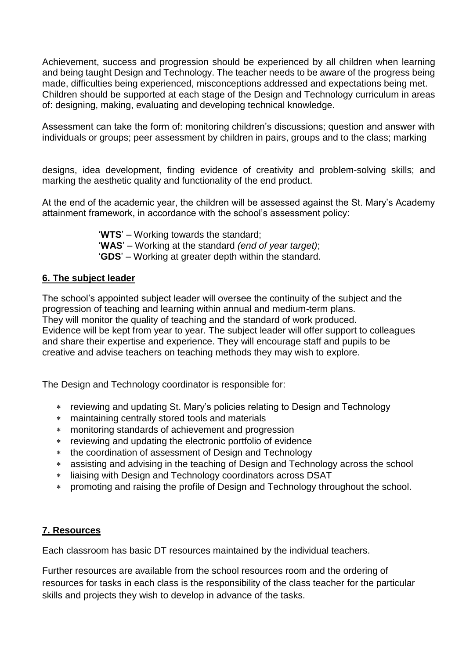Achievement, success and progression should be experienced by all children when learning and being taught Design and Technology. The teacher needs to be aware of the progress being made, difficulties being experienced, misconceptions addressed and expectations being met. Children should be supported at each stage of the Design and Technology curriculum in areas of: designing, making, evaluating and developing technical knowledge.

Assessment can take the form of: monitoring children's discussions; question and answer with individuals or groups; peer assessment by children in pairs, groups and to the class; marking

designs, idea development, finding evidence of creativity and problem-solving skills; and marking the aesthetic quality and functionality of the end product.

At the end of the academic year, the children will be assessed against the St. Mary's Academy attainment framework, in accordance with the school's assessment policy:

> '**WTS**' – Working towards the standard; '**WAS**' – Working at the standard *(end of year target)*; '**GDS**' – Working at greater depth within the standard*.*

#### **6. The subject leader**

The school's appointed subject leader will oversee the continuity of the subject and the progression of teaching and learning within annual and medium-term plans. They will monitor the quality of teaching and the standard of work produced. Evidence will be kept from year to year. The subject leader will offer support to colleagues and share their expertise and experience. They will encourage staff and pupils to be creative and advise teachers on teaching methods they may wish to explore.

The Design and Technology coordinator is responsible for:

- reviewing and updating St. Mary's policies relating to Design and Technology
- maintaining centrally stored tools and materials
- monitoring standards of achievement and progression
- reviewing and updating the electronic portfolio of evidence
- the coordination of assessment of Design and Technology
- assisting and advising in the teaching of Design and Technology across the school
- liaising with Design and Technology coordinators across DSAT
- promoting and raising the profile of Design and Technology throughout the school.

#### **7. Resources**

Each classroom has basic DT resources maintained by the individual teachers.

Further resources are available from the school resources room and the ordering of resources for tasks in each class is the responsibility of the class teacher for the particular skills and projects they wish to develop in advance of the tasks.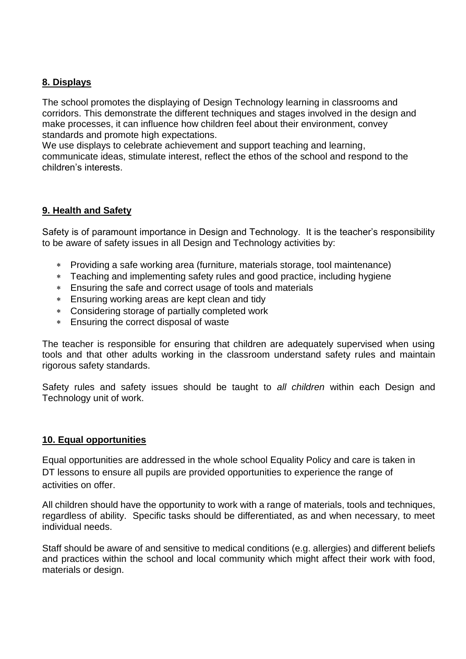#### **8. Displays**

The school promotes the displaying of Design Technology learning in classrooms and corridors. This demonstrate the different techniques and stages involved in the design and make processes, it can influence how children feel about their environment, convey standards and promote high expectations.

We use displays to celebrate achievement and support teaching and learning, communicate ideas, stimulate interest, reflect the ethos of the school and respond to the children's interests.

#### **9. Health and Safety**

Safety is of paramount importance in Design and Technology. It is the teacher's responsibility to be aware of safety issues in all Design and Technology activities by:

- Providing a safe working area (furniture, materials storage, tool maintenance)
- Teaching and implementing safety rules and good practice, including hygiene
- Ensuring the safe and correct usage of tools and materials
- Ensuring working areas are kept clean and tidy
- Considering storage of partially completed work
- Ensuring the correct disposal of waste

The teacher is responsible for ensuring that children are adequately supervised when using tools and that other adults working in the classroom understand safety rules and maintain rigorous safety standards.

Safety rules and safety issues should be taught to *all children* within each Design and Technology unit of work.

#### **10. Equal opportunities**

Equal opportunities are addressed in the whole school Equality Policy and care is taken in DT lessons to ensure all pupils are provided opportunities to experience the range of activities on offer.

All children should have the opportunity to work with a range of materials, tools and techniques, regardless of ability. Specific tasks should be differentiated, as and when necessary, to meet individual needs.

Staff should be aware of and sensitive to medical conditions (e.g. allergies) and different beliefs and practices within the school and local community which might affect their work with food, materials or design.